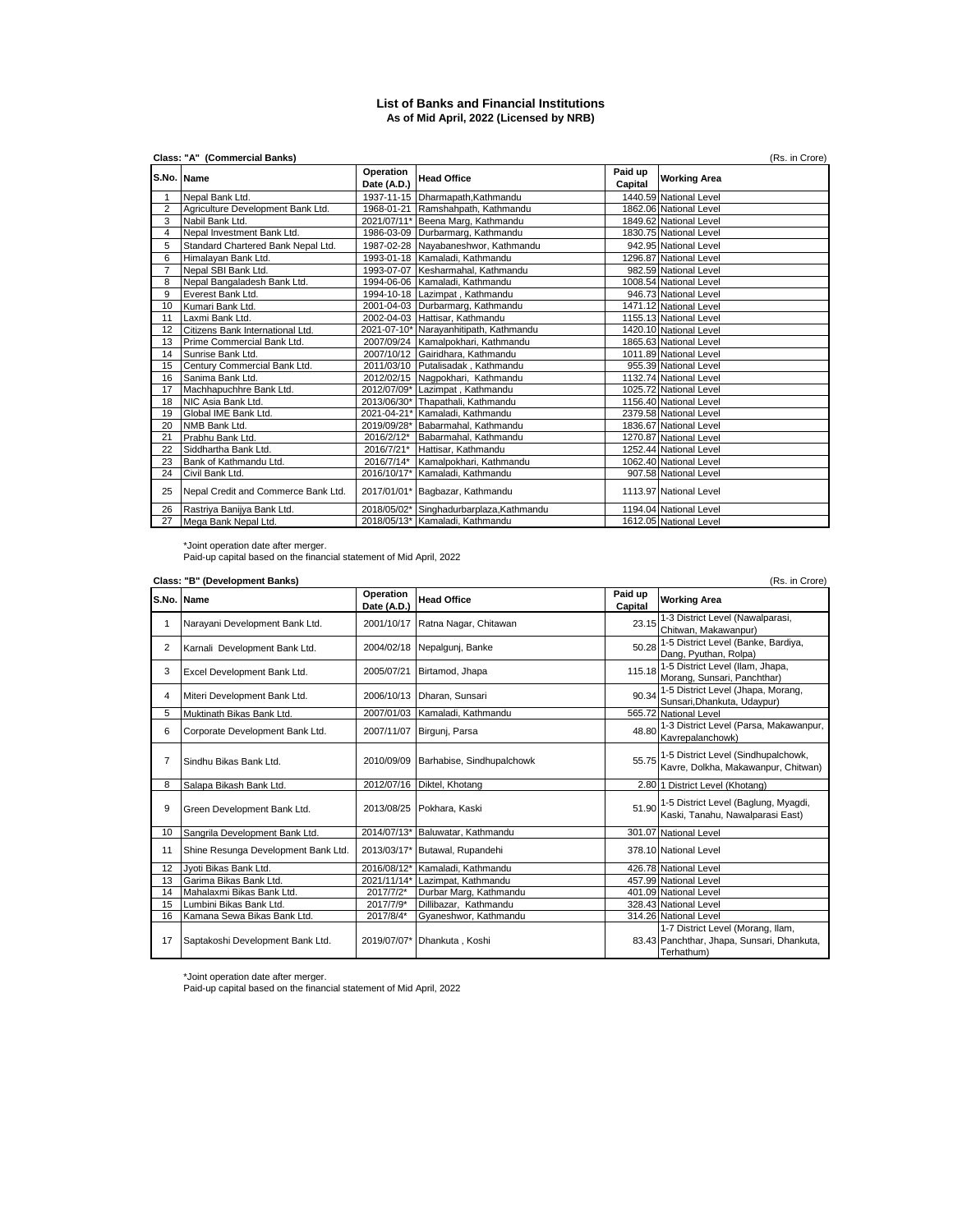## **List of Banks and Financial Institutions As of Mid April, 2022 (Licensed by NRB)**

|                | Class: "A" (Commercial Banks)<br>(Rs. in Crore) |                          |                                          |                    |                        |  |
|----------------|-------------------------------------------------|--------------------------|------------------------------------------|--------------------|------------------------|--|
|                | S.No. Name                                      | Operation<br>Date (A.D.) | <b>Head Office</b>                       | Paid up<br>Capital | <b>Working Area</b>    |  |
|                | Nepal Bank Ltd.                                 |                          | 1937-11-15 Dharmapath, Kathmandu         |                    | 1440.59 National Level |  |
| $\overline{2}$ | Agriculture Development Bank Ltd.               |                          | 1968-01-21 Ramshahpath, Kathmandu        |                    | 1862.06 National Level |  |
| 3              | Nabil Bank Ltd.                                 |                          | 2021/07/11* Beena Marg, Kathmandu        |                    | 1849.62 National Level |  |
| 4              | Nepal Investment Bank Ltd.                      |                          | 1986-03-09 Durbarmarg, Kathmandu         |                    | 1830.75 National Level |  |
| 5              | Standard Chartered Bank Nepal Ltd.              |                          | 1987-02-28 Nayabaneshwor, Kathmandu      |                    | 942.95 National Level  |  |
| 6              | Himalayan Bank Ltd.                             |                          | 1993-01-18 Kamaladi, Kathmandu           |                    | 1296.87 National Level |  |
| $\overline{7}$ | Nepal SBI Bank Ltd.                             |                          | 1993-07-07 Kesharmahal, Kathmandu        |                    | 982.59 National Level  |  |
| 8              | Nepal Bangaladesh Bank Ltd.                     |                          | 1994-06-06 Kamaladi, Kathmandu           |                    | 1008.54 National Level |  |
| 9              | Everest Bank Ltd.                               |                          | 1994-10-18 Lazimpat, Kathmandu           |                    | 946.73 National Level  |  |
| 10             | Kumari Bank Ltd.                                |                          | 2001-04-03 Durbarmarg, Kathmandu         |                    | 1471.12 National Level |  |
| 11             | Laxmi Bank Ltd.                                 |                          | 2002-04-03 Hattisar, Kathmandu           |                    | 1155.13 National Level |  |
| 12             | Citizens Bank International Ltd.                |                          | 2021-07-10* Narayanhitipath, Kathmandu   |                    | 1420.10 National Level |  |
| 13             | Prime Commercial Bank Ltd.                      |                          | 2007/09/24 Kamalpokhari, Kathmandu       |                    | 1865.63 National Level |  |
| 14             | Sunrise Bank Ltd.                               |                          | 2007/10/12 Gairidhara, Kathmandu         |                    | 1011.89 National Level |  |
| 15             | Century Commercial Bank Ltd.                    |                          | 2011/03/10 Putalisadak, Kathmandu        |                    | 955.39 National Level  |  |
| 16             | Sanima Bank Ltd.                                |                          | 2012/02/15 Nagpokhari, Kathmandu         |                    | 1132.74 National Level |  |
| 17             | Machhapuchhre Bank Ltd.                         |                          | 2012/07/09* Lazimpat, Kathmandu          |                    | 1025.72 National Level |  |
| 18             | NIC Asia Bank Ltd.                              |                          | 2013/06/30* Thapathali, Kathmandu        |                    | 1156.40 National Level |  |
| 19             | Global IME Bank Ltd.                            |                          | 2021-04-21* Kamaladi, Kathmandu          |                    | 2379.58 National Level |  |
| 20             | NMB Bank Ltd.                                   |                          | 2019/09/28* Babarmahal, Kathmandu        |                    | 1836.67 National Level |  |
| 21             | Prabhu Bank Ltd.                                | 2016/2/12*               | Babarmahal, Kathmandu                    |                    | 1270.87 National Level |  |
| 22             | Siddhartha Bank Ltd.                            |                          | 2016/7/21* Hattisar, Kathmandu           |                    | 1252.44 National Level |  |
| 23             | Bank of Kathmandu Ltd.                          |                          | 2016/7/14* Kamalpokhari, Kathmandu       |                    | 1062.40 National Level |  |
| 24             | Civil Bank Ltd.                                 |                          | 2016/10/17* Kamaladi, Kathmandu          |                    | 907.58 National Level  |  |
| 25             | Nepal Credit and Commerce Bank Ltd.             |                          | 2017/01/01* Bagbazar, Kathmandu          |                    | 1113.97 National Level |  |
| 26             | Rastriya Banijya Bank Ltd.                      |                          | 2018/05/02* Singhadurbarplaza, Kathmandu |                    | 1194.04 National Level |  |
| 27             | Mega Bank Nepal Ltd.                            |                          | 2018/05/13* Kamaladi, Kathmandu          |                    | 1612.05 National Level |  |

\*Joint operation date after merger. Paid-up capital based on the financial statement of Mid April, 2022

| Class: "B" (Development Banks) |                                     |                          |                                  |                    |                                                                                               |
|--------------------------------|-------------------------------------|--------------------------|----------------------------------|--------------------|-----------------------------------------------------------------------------------------------|
|                                | S.No. Name                          | Operation<br>Date (A.D.) | <b>Head Office</b>               | Paid up<br>Capital | <b>Working Area</b>                                                                           |
| 1                              | Narayani Development Bank Ltd.      |                          | 2001/10/17 Ratna Nagar, Chitawan | 23.15              | 1-3 District Level (Nawalparasi,<br>Chitwan, Makawanpur)                                      |
| 2                              | Karnali Development Bank Ltd.       |                          | 2004/02/18 Nepalgunj, Banke      | 50.28              | 1-5 District Level (Banke, Bardiya,<br>Dang, Pyuthan, Rolpa)                                  |
| 3                              | Excel Development Bank Ltd.         | 2005/07/21               | Birtamod, Jhapa                  | 115.18             | 1-5 District Level (Ilam, Jhapa,<br>Morang, Sunsari, Panchthar)                               |
| 4                              | Miteri Development Bank Ltd.        | 2006/10/13               | Dharan, Sunsari                  | 90.34              | 1-5 District Level (Jhapa, Morang,<br>Sunsari, Dhankuta, Udaypur)                             |
| 5                              | Muktinath Bikas Bank Ltd.           |                          | 2007/01/03 Kamaladi, Kathmandu   |                    | 565.72 National Level                                                                         |
| 6                              | Corporate Development Bank Ltd.     | 2007/11/07               | Birgunj, Parsa                   | 48.80              | 1-3 District Level (Parsa, Makawanpur,<br>Kavrepalanchowk)                                    |
| 7                              | Sindhu Bikas Bank Ltd.              | 2010/09/09               | Barhabise, Sindhupalchowk        |                    | 55.75 1-5 District Level (Sindhupalchowk,<br>Kavre, Dolkha, Makawanpur, Chitwan)              |
| 8                              | Salapa Bikash Bank Ltd.             |                          | 2012/07/16 Diktel, Khotang       |                    | 2.80 1 District Level (Khotang)                                                               |
| 9                              | Green Development Bank Ltd.         | 2013/08/25               | Pokhara, Kaski                   |                    | 51.90 1-5 District Level (Baglung, Myagdi,<br>Kaski, Tanahu, Nawalparasi East)                |
| 10                             | Sangrila Development Bank Ltd.      |                          | 2014/07/13* Baluwatar, Kathmandu |                    | 301.07 National Level                                                                         |
| 11                             | Shine Resunga Development Bank Ltd. |                          | 2013/03/17* Butawal, Rupandehi   |                    | 378.10 National Level                                                                         |
| 12                             | Jyoti Bikas Bank Ltd.               | 2016/08/12*              | Kamaladi, Kathmandu              |                    | 426.78 National Level                                                                         |
| 13                             | Garima Bikas Bank Ltd.              | 2021/11/14*              | Lazimpat, Kathmandu              |                    | 457.99 National Level                                                                         |
| 14                             | Mahalaxmi Bikas Bank Ltd.           | 2017/7/2*                | Durbar Marg, Kathmandu           |                    | 401.09 National Level                                                                         |
| 15                             | Lumbini Bikas Bank Ltd.             | 2017/7/9*                | Dillibazar. Kathmandu            |                    | 328.43 National Level                                                                         |
| 16                             | Kamana Sewa Bikas Bank Ltd.         | 2017/8/4*                | Gyaneshwor, Kathmandu            |                    | 314.26 National Level                                                                         |
| 17                             | Saptakoshi Development Bank Ltd.    |                          | 2019/07/07* Dhankuta, Koshi      |                    | 1-7 District Level (Morang, Ilam,<br>83.43 Panchthar, Jhapa, Sunsari, Dhankuta,<br>Terhathum) |

\*Joint operation date after merger. Paid-up capital based on the financial statement of Mid April, 2022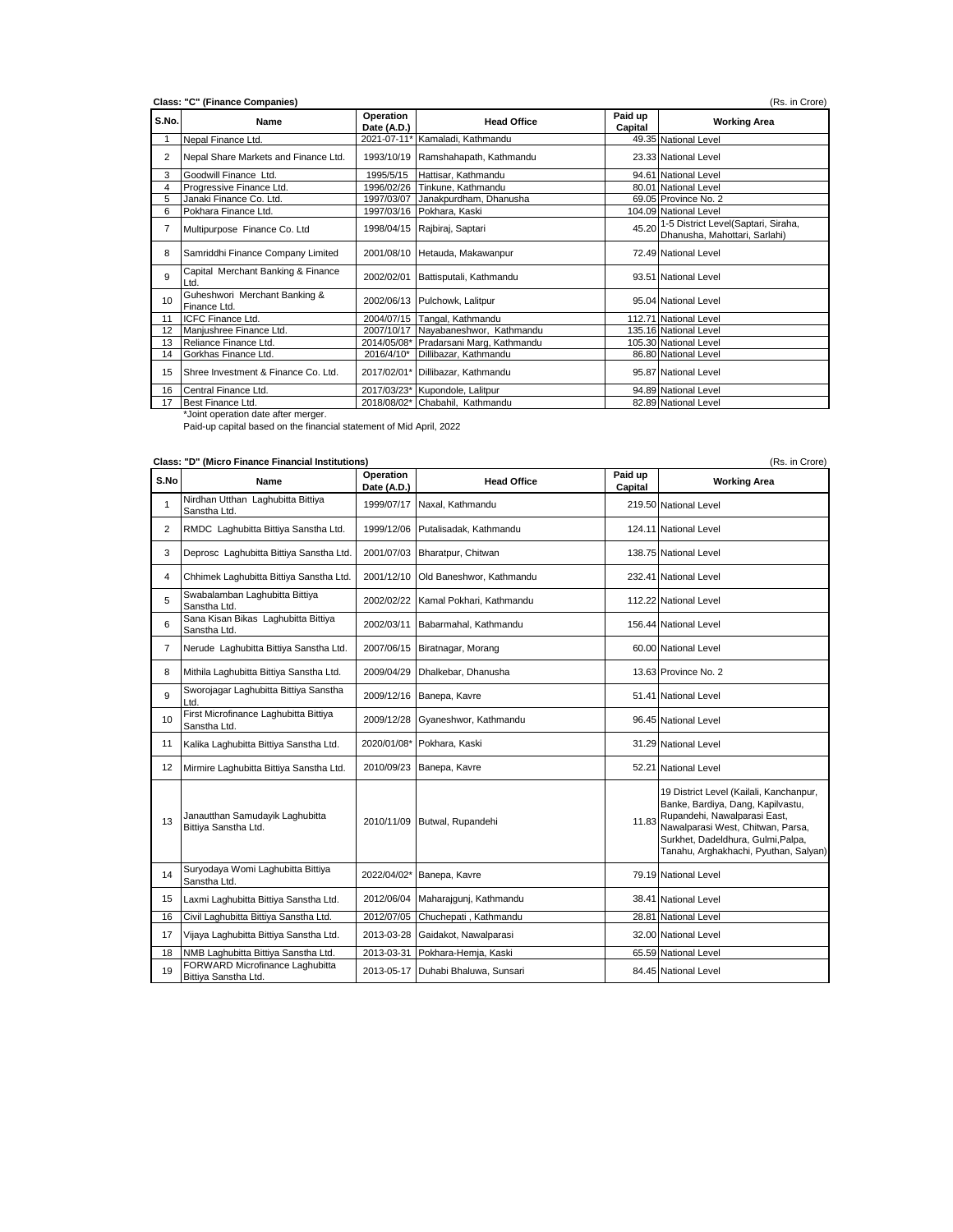| 2<br>3<br>4<br>5<br>6<br>7<br>8<br>9<br>Ltd<br>10<br>Finance Ltd.<br>11<br>12<br>13<br>14 | Nepal Finance Ltd.<br>Nepal Share Markets and Finance Ltd.<br>Goodwill Finance Ltd.<br>Progressive Finance Ltd.<br>Janaki Finance Co. Ltd.<br>Pokhara Finance Ltd.<br>Multipurpose Finance Co. Ltd | 1995/5/15<br>1996/02/26 | 2021-07-11* Kamaladi, Kathmandu<br>1993/10/19 Ramshahapath, Kathmandu<br>Hattisar, Kathmandu<br>Tinkune, Kathmandu<br>1997/03/07 Janakpurdham, Dhanusha<br>1997/03/16 Pokhara, Kaski<br>1998/04/15 Rajbiraj, Saptari | 49.35 National Level<br>23.33 National Level<br>94.61 National Level<br>80.01 National Level<br>69.05 Province No. 2<br>104.09 National Level |
|-------------------------------------------------------------------------------------------|----------------------------------------------------------------------------------------------------------------------------------------------------------------------------------------------------|-------------------------|----------------------------------------------------------------------------------------------------------------------------------------------------------------------------------------------------------------------|-----------------------------------------------------------------------------------------------------------------------------------------------|
|                                                                                           |                                                                                                                                                                                                    |                         |                                                                                                                                                                                                                      |                                                                                                                                               |
|                                                                                           |                                                                                                                                                                                                    |                         |                                                                                                                                                                                                                      |                                                                                                                                               |
|                                                                                           |                                                                                                                                                                                                    |                         |                                                                                                                                                                                                                      |                                                                                                                                               |
|                                                                                           |                                                                                                                                                                                                    |                         |                                                                                                                                                                                                                      |                                                                                                                                               |
|                                                                                           |                                                                                                                                                                                                    |                         |                                                                                                                                                                                                                      |                                                                                                                                               |
|                                                                                           |                                                                                                                                                                                                    |                         |                                                                                                                                                                                                                      |                                                                                                                                               |
|                                                                                           |                                                                                                                                                                                                    |                         |                                                                                                                                                                                                                      | 45.20 1-5 District Level(Saptari, Siraha,<br>Dhanusha, Mahottari, Sarlahi)                                                                    |
|                                                                                           | Samriddhi Finance Company Limited                                                                                                                                                                  |                         | 2001/08/10 Hetauda, Makawanpur                                                                                                                                                                                       | 72.49 National Level                                                                                                                          |
|                                                                                           | Capital Merchant Banking & Finance                                                                                                                                                                 | 2002/02/01              | Battisputali, Kathmandu                                                                                                                                                                                              | 93.51 National Level                                                                                                                          |
|                                                                                           | Guheshwori Merchant Banking &                                                                                                                                                                      |                         | 2002/06/13 Pulchowk, Lalitpur                                                                                                                                                                                        | 95.04 National Level                                                                                                                          |
|                                                                                           | <b>ICFC Finance Ltd.</b>                                                                                                                                                                           |                         | 2004/07/15 Tangal, Kathmandu                                                                                                                                                                                         | 112.71 National Level                                                                                                                         |
|                                                                                           | Manjushree Finance Ltd.                                                                                                                                                                            |                         | 2007/10/17 Nayabaneshwor, Kathmandu                                                                                                                                                                                  | 135.16 National Level                                                                                                                         |
|                                                                                           | Reliance Finance Ltd.                                                                                                                                                                              |                         | 2014/05/08* Pradarsani Marg, Kathmandu                                                                                                                                                                               | 105.30 National Level                                                                                                                         |
|                                                                                           | Gorkhas Finance Ltd.                                                                                                                                                                               | 2016/4/10*              | Dillibazar, Kathmandu                                                                                                                                                                                                | 86.80 National Level                                                                                                                          |
| 15                                                                                        | Shree Investment & Finance Co. Ltd.                                                                                                                                                                |                         | 2017/02/01* Dillibazar, Kathmandu                                                                                                                                                                                    | 95.87 National Level                                                                                                                          |
| 16                                                                                        |                                                                                                                                                                                                    |                         | 2017/03/23* Kupondole, Lalitpur                                                                                                                                                                                      | 94.89 National Level                                                                                                                          |
| Best Finance Ltd.<br>17                                                                   | Central Finance Ltd.                                                                                                                                                                               |                         | 2018/08/02* Chabahil, Kathmandu                                                                                                                                                                                      | 82.89 National Level                                                                                                                          |

| Class:<br>(Micro F<br><b>"D"</b><br>د Finance Financial Institutions)<br>'Rs. | Crore) |  |
|-------------------------------------------------------------------------------|--------|--|
|-------------------------------------------------------------------------------|--------|--|

| S.No           | Name                                                    | Operation<br>Date (A.D.) | <b>Head Office</b>                 | Paid up<br>Capital | <b>Working Area</b>                                                                                                                                                                                                              |
|----------------|---------------------------------------------------------|--------------------------|------------------------------------|--------------------|----------------------------------------------------------------------------------------------------------------------------------------------------------------------------------------------------------------------------------|
| 1              | Nirdhan Utthan Laghubitta Bittiya<br>Sanstha Ltd.       | 1999/07/17               | Naxal, Kathmandu                   |                    | 219.50 National Level                                                                                                                                                                                                            |
| $\overline{2}$ | RMDC Laghubitta Bittiya Sanstha Ltd.                    | 1999/12/06               | Putalisadak, Kathmandu             |                    | 124.11 National Level                                                                                                                                                                                                            |
| 3              | Deprosc Laghubitta Bittiya Sanstha Ltd.                 | 2001/07/03               | Bharatpur, Chitwan                 |                    | 138.75 National Level                                                                                                                                                                                                            |
| 4              | Chhimek Laghubitta Bittiya Sanstha Ltd.                 | 2001/12/10               | Old Baneshwor, Kathmandu           |                    | 232.41 National Level                                                                                                                                                                                                            |
| 5              | Swabalamban Laghubitta Bittiya<br>Sanstha Ltd.          | 2002/02/22               | Kamal Pokhari, Kathmandu           |                    | 112.22 National Level                                                                                                                                                                                                            |
| 6              | Sana Kisan Bikas Laghubitta Bittiya<br>Sanstha Ltd.     | 2002/03/11               | Babarmahal, Kathmandu              |                    | 156.44 National Level                                                                                                                                                                                                            |
| $\overline{7}$ | Nerude Laghubitta Bittiya Sanstha Ltd.                  | 2007/06/15               | Biratnagar, Morang                 |                    | 60.00 National Level                                                                                                                                                                                                             |
| 8              | Mithila Laghubitta Bittiya Sanstha Ltd.                 | 2009/04/29               | Dhalkebar, Dhanusha                |                    | 13.63 Province No. 2                                                                                                                                                                                                             |
| 9              | Sworojagar Laghubitta Bittiya Sanstha<br>Ltd.           | 2009/12/16               | Banepa, Kavre                      |                    | 51.41 National Level                                                                                                                                                                                                             |
| 10             | First Microfinance Laghubitta Bittiya<br>Sanstha Ltd.   | 2009/12/28               | Gyaneshwor, Kathmandu              |                    | 96.45 National Level                                                                                                                                                                                                             |
| 11             | Kalika Laghubitta Bittiya Sanstha Ltd.                  | 2020/01/08*              | Pokhara, Kaski                     |                    | 31.29 National Level                                                                                                                                                                                                             |
| 12             | Mirmire Laghubitta Bittiya Sanstha Ltd.                 | 2010/09/23               | Banepa, Kavre                      |                    | 52.21 National Level                                                                                                                                                                                                             |
| 13             | Janautthan Samudayik Laghubitta<br>Bittiya Sanstha Ltd. | 2010/11/09               | Butwal, Rupandehi                  | 11.83              | 19 District Level (Kailali, Kanchanpur,<br>Banke, Bardiya, Dang, Kapilvastu,<br>Rupandehi, Nawalparasi East,<br>Nawalparasi West, Chitwan, Parsa,<br>Surkhet, Dadeldhura, Gulmi, Palpa,<br>Tanahu, Arghakhachi, Pyuthan, Salyan) |
| 14             | Suryodaya Womi Laghubitta Bittiya<br>Sanstha Ltd.       | 2022/04/02*              | Banepa, Kavre                      |                    | 79.19 National Level                                                                                                                                                                                                             |
| 15             | Laxmi Laghubitta Bittiya Sanstha Ltd.                   | 2012/06/04               | Maharajgunj, Kathmandu             |                    | 38.41 National Level                                                                                                                                                                                                             |
| 16             | Civil Laghubitta Bittiya Sanstha Ltd.                   | 2012/07/05               | Chuchepati, Kathmandu              |                    | 28.81 National Level                                                                                                                                                                                                             |
| 17             | Vijaya Laghubitta Bittiya Sanstha Ltd.                  |                          | 2013-03-28 Gaidakot, Nawalparasi   |                    | 32.00 National Level                                                                                                                                                                                                             |
| 18             | NMB Laghubitta Bittiya Sanstha Ltd.                     | 2013-03-31               | Pokhara-Hemja, Kaski               |                    | 65.59 National Level                                                                                                                                                                                                             |
| 19             | FORWARD Microfinance Laghubitta<br>Bittiya Sanstha Ltd. |                          | 2013-05-17 Duhabi Bhaluwa, Sunsari |                    | 84.45 National Level                                                                                                                                                                                                             |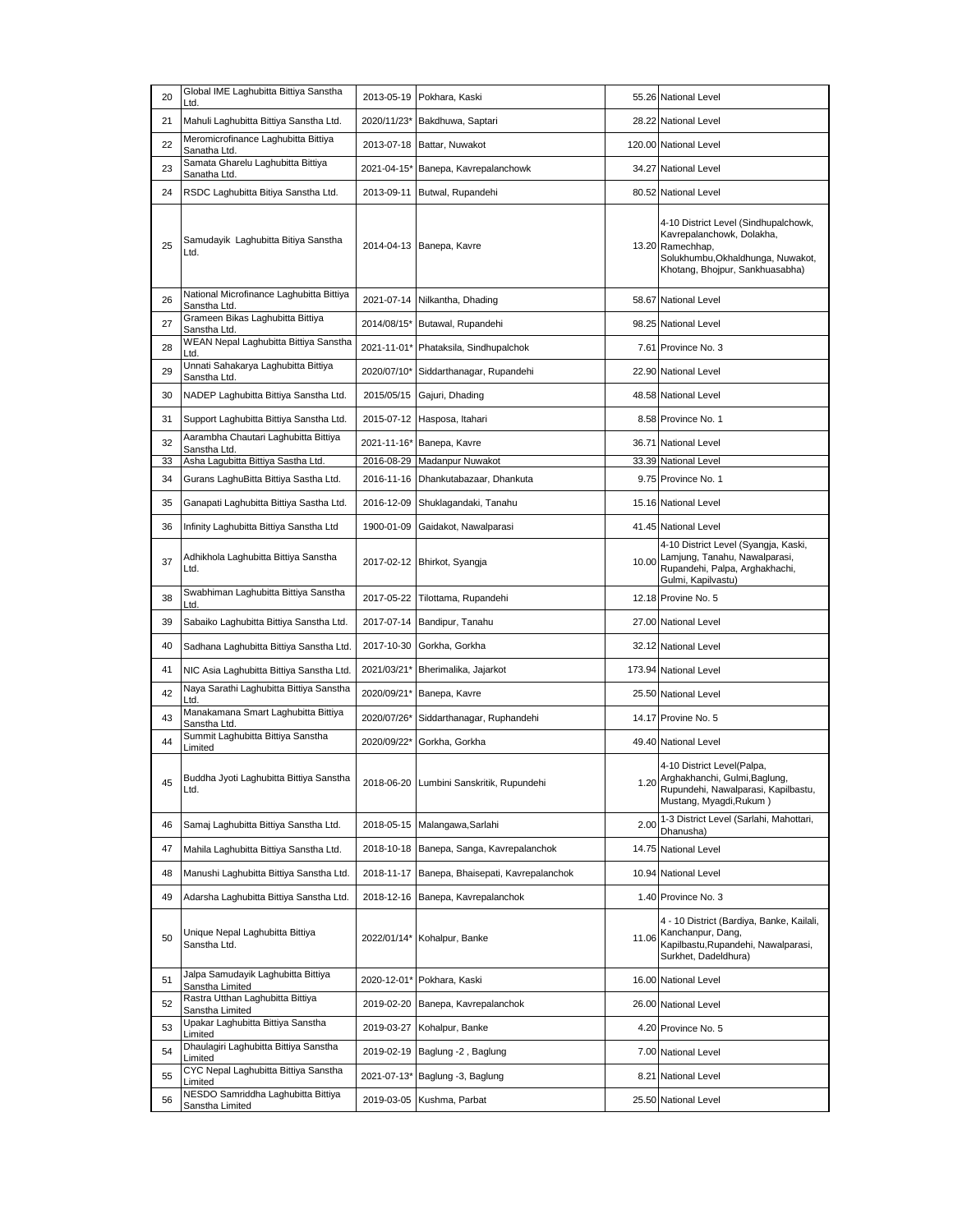| 20 | Global IME Laghubitta Bittiya Sanstha<br>Ltd.            | 2013-05-19  | Pokhara, Kaski                        |       | 55.26 National Level                                                                                                                                          |
|----|----------------------------------------------------------|-------------|---------------------------------------|-------|---------------------------------------------------------------------------------------------------------------------------------------------------------------|
| 21 | Mahuli Laghubitta Bittiya Sanstha Ltd.                   | 2020/11/23* | Bakdhuwa, Saptari                     |       | 28.22 National Level                                                                                                                                          |
| 22 | Meromicrofinance Laghubitta Bittiya<br>Sanatha Ltd.      |             | 2013-07-18 Battar, Nuwakot            |       | 120.00 National Level                                                                                                                                         |
| 23 | Samata Gharelu Laghubitta Bittiya<br>Sanatha Ltd.        | 2021-04-15* | Banepa, Kavrepalanchowk               |       | 34.27 National Level                                                                                                                                          |
| 24 | RSDC Laghubitta Bitiya Sanstha Ltd.                      | 2013-09-11  | Butwal, Rupandehi                     |       | 80.52 National Level                                                                                                                                          |
| 25 | Samudayik Laghubitta Bitiya Sanstha<br>Ltd.              |             | 2014-04-13 Banepa, Kavre              |       | 4-10 District Level (Sindhupalchowk,<br>Kavrepalanchowk, Dolakha,<br>13.20 Ramechhap,<br>Solukhumbu, Okhaldhunga, Nuwakot,<br>Khotang, Bhojpur, Sankhuasabha) |
| 26 | National Microfinance Laghubitta Bittiya<br>Sanstha Ltd. | 2021-07-14  | Nilkantha, Dhading                    |       | 58.67 National Level                                                                                                                                          |
| 27 | Grameen Bikas Laghubitta Bittiya<br>Sanstha Ltd.         |             | 2014/08/15* Butawal, Rupandehi        |       | 98.25 National Level                                                                                                                                          |
| 28 | WEAN Nepal Laghubitta Bittiya Sanstha                    |             | 2021-11-01* Phataksila, Sindhupalchok |       | 7.61 Province No. 3                                                                                                                                           |
| 29 | Unnati Sahakarya Laghubitta Bittiya<br>Sanstha Ltd.      | 2020/07/10* | Siddarthanagar, Rupandehi             |       | 22.90 National Level                                                                                                                                          |
| 30 | NADEP Laghubitta Bittiya Sanstha Ltd.                    | 2015/05/15  | Gajuri, Dhading                       |       | 48.58 National Level                                                                                                                                          |
| 31 | Support Laghubitta Bittiya Sanstha Ltd.                  |             | 2015-07-12 Hasposa, Itahari           |       | 8.58 Province No. 1                                                                                                                                           |
| 32 | Aarambha Chautari Laghubitta Bittiya<br>Sanstha Ltd.     |             | 2021-11-16* Banepa, Kavre             |       | 36.71 National Level                                                                                                                                          |
| 33 | Asha Lagubitta Bittiya Sastha Ltd.                       | 2016-08-29  | Madanpur Nuwakot                      |       | 33.39 National Level                                                                                                                                          |
| 34 | Gurans LaghuBitta Bittiya Sastha Ltd.                    | 2016-11-16  | Dhankutabazaar, Dhankuta              |       | 9.75 Province No. 1                                                                                                                                           |
| 35 | Ganapati Laghubitta Bittiya Sastha Ltd.                  | 2016-12-09  | Shuklagandaki, Tanahu                 |       | 15.16 National Level                                                                                                                                          |
| 36 | Infinity Laghubitta Bittiya Sanstha Ltd                  | 1900-01-09  | Gaidakot, Nawalparasi                 |       | 41.45 National Level                                                                                                                                          |
| 37 | Adhikhola Laghubitta Bittiya Sanstha<br>Ltd.             |             | 2017-02-12 Bhirkot, Syangja           | 10.00 | 4-10 District Level (Syangja, Kaski,<br>Lamjung, Tanahu, Nawalparasi,<br>Rupandehi, Palpa, Arghakhachi,<br>Gulmi, Kapilvastu)                                 |
| 38 | Swabhiman Laghubitta Bittiya Sanstha<br>Ltd.             | 2017-05-22  | Tilottama, Rupandehi                  |       | 12.18 Provine No. 5                                                                                                                                           |
| 39 | Sabaiko Laghubitta Bittiya Sanstha Ltd.                  | 2017-07-14  | Bandipur, Tanahu                      |       | 27.00 National Level                                                                                                                                          |
| 40 | Sadhana Laghubitta Bittiya Sanstha Ltd.                  | 2017-10-30  | Gorkha, Gorkha                        |       | 32.12 National Level                                                                                                                                          |
| 41 | NIC Asia Laghubitta Bittiya Sanstha Ltd.                 | 2021/03/21* | Bherimalika, Jajarkot                 |       | 173.94 National Level                                                                                                                                         |
| 42 | Naya Sarathi Laghubitta Bittiya Sanstha<br>Ltd.          |             | 2020/09/21* Banepa, Kavre             |       | 25.50 National Level                                                                                                                                          |
| 43 | Manakamana Smart Laghubitta Bittiya<br>Sanstha Ltd.      | 2020/07/26* | Siddarthanagar, Ruphandehi            |       | 14.17 Provine No. 5                                                                                                                                           |
| 44 | Summit Laghubitta Bittiya Sanstha<br>Limited             | 2020/09/22* | Gorkha, Gorkha                        |       | 49.40 National Level                                                                                                                                          |
| 45 | Buddha Jyoti Laghubitta Bittiya Sanstha<br>Ltd.          | 2018-06-20  | Lumbini Sanskritik, Rupundehi         |       | 4-10 District Level(Palpa,<br>1.20 Arghakhanchi, Gulmi, Baglung,<br>Rupundehi, Nawalparasi, Kapilbastu,<br>Mustang, Myagdi, Rukum)                            |
| 46 | Samaj Laghubitta Bittiya Sanstha Ltd.                    | 2018-05-15  | Malangawa, Sarlahi                    | 2.00  | 1-3 District Level (Sarlahi, Mahottari,<br>Dhanusha)                                                                                                          |
| 47 | Mahila Laghubitta Bittiya Sanstha Ltd.                   | 2018-10-18  | Banepa, Sanga, Kavrepalanchok         |       | 14.75 National Level                                                                                                                                          |
| 48 | Manushi Laghubitta Bittiya Sanstha Ltd.                  | 2018-11-17  | Banepa, Bhaisepati, Kavrepalanchok    |       | 10.94 National Level                                                                                                                                          |
| 49 | Adarsha Laghubitta Bittiya Sanstha Ltd.                  | 2018-12-16  | Banepa, Kavrepalanchok                |       | 1.40 Province No. 3                                                                                                                                           |
| 50 | Unique Nepal Laghubitta Bittiya<br>Sanstha Ltd.          | 2022/01/14* | Kohalpur, Banke                       | 11.06 | 4 - 10 District (Bardiya, Banke, Kailali,<br>Kanchanpur, Dang,<br>Kapilbastu, Rupandehi, Nawalparasi,<br>Surkhet. Dadeldhura)                                 |
| 51 | Jalpa Samudayik Laghubitta Bittiya<br>Sanstha Limited    | 2020-12-01* | Pokhara, Kaski                        |       | 16.00 National Level                                                                                                                                          |
| 52 | Rastra Utthan Laghubitta Bittiya<br>Sanstha Limited      | 2019-02-20  | Banepa, Kavrepalanchok                |       | 26.00 National Level                                                                                                                                          |
| 53 | Upakar Laghubitta Bittiya Sanstha<br>Limited             | 2019-03-27  | Kohalpur, Banke                       |       | 4.20 Province No. 5                                                                                                                                           |
| 54 | Dhaulagiri Laghubitta Bittiya Sanstha<br>Limited         | 2019-02-19  | Baglung -2, Baglung                   |       | 7.00 National Level                                                                                                                                           |
| 55 | CYC Nepal Laghubitta Bittiya Sanstha<br>Limited          |             | 2021-07-13* Baglung -3, Baglung       |       | 8.21 National Level                                                                                                                                           |
| 56 | NESDO Samriddha Laghubitta Bittiya<br>Sanstha Limited    | 2019-03-05  | Kushma, Parbat                        |       | 25.50 National Level                                                                                                                                          |